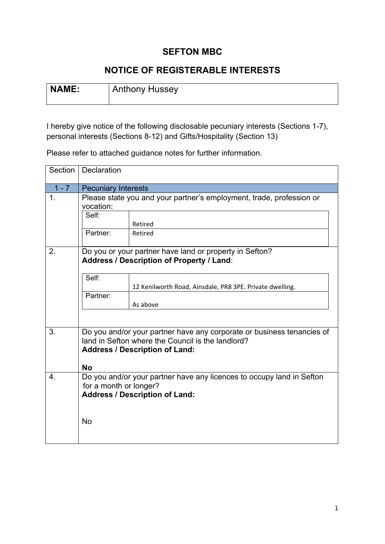## **SEFTON MBC**

## **NOTICE OF REGISTERABLE INTERESTS**

| NAME: | Anthony Hussey |
|-------|----------------|
|       |                |

I hereby give notice of the following disclosable pecuniary interests (Sections 1-7), personal interests (Sections 8-12) and Gifts/Hospitality (Section 13)

Please refer to attached guidance notes for further information.

| Section       | Declaration                                                                                                                                                          |                                                                       |  |
|---------------|----------------------------------------------------------------------------------------------------------------------------------------------------------------------|-----------------------------------------------------------------------|--|
| $1 - 7$       | <b>Pecuniary Interests</b>                                                                                                                                           |                                                                       |  |
| $\mathbf 1$ . | Please state you and your partner's employment, trade, profession or<br>vocation:                                                                                    |                                                                       |  |
|               | Self:                                                                                                                                                                | Retired                                                               |  |
|               | Partner:                                                                                                                                                             | Retired                                                               |  |
| 2.            |                                                                                                                                                                      | Do you or your partner have land or property in Sefton?               |  |
|               |                                                                                                                                                                      | Address / Description of Property / Land:                             |  |
|               | Self:                                                                                                                                                                | 12 Kenilworth Road, Ainsdale, PR8 3PE. Private dwelling.              |  |
|               | Partner:                                                                                                                                                             |                                                                       |  |
|               |                                                                                                                                                                      | As above                                                              |  |
|               |                                                                                                                                                                      |                                                                       |  |
| 3.            | Do you and/or your partner have any corporate or business tenancies of<br>land in Sefton where the Council is the landlord?<br><b>Address / Description of Land:</b> |                                                                       |  |
|               | <b>No</b>                                                                                                                                                            |                                                                       |  |
| 4.            | for a month or longer?                                                                                                                                               | Do you and/or your partner have any licences to occupy land in Sefton |  |
|               |                                                                                                                                                                      | <b>Address / Description of Land:</b>                                 |  |
|               | <b>No</b>                                                                                                                                                            |                                                                       |  |
|               |                                                                                                                                                                      |                                                                       |  |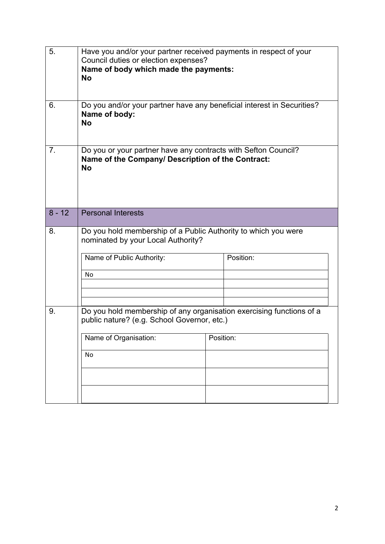| 5.             | Have you and/or your partner received payments in respect of your<br>Council duties or election expenses?<br>Name of body which made the payments:<br><b>No</b> |  |           |  |  |
|----------------|-----------------------------------------------------------------------------------------------------------------------------------------------------------------|--|-----------|--|--|
| 6.             | Do you and/or your partner have any beneficial interest in Securities?<br>Name of body:<br><b>No</b>                                                            |  |           |  |  |
| 7 <sub>1</sub> | Do you or your partner have any contracts with Sefton Council?<br>Name of the Company/ Description of the Contract:<br><b>No</b>                                |  |           |  |  |
| $8 - 12$       | <b>Personal Interests</b>                                                                                                                                       |  |           |  |  |
| 8.             | Do you hold membership of a Public Authority to which you were<br>nominated by your Local Authority?                                                            |  |           |  |  |
|                | Name of Public Authority:<br>No                                                                                                                                 |  | Position: |  |  |
| 9.             | Do you hold membership of any organisation exercising functions of a<br>public nature? (e.g. School Governor, etc.)                                             |  |           |  |  |
|                | Name of Organisation:<br>No                                                                                                                                     |  | Position: |  |  |